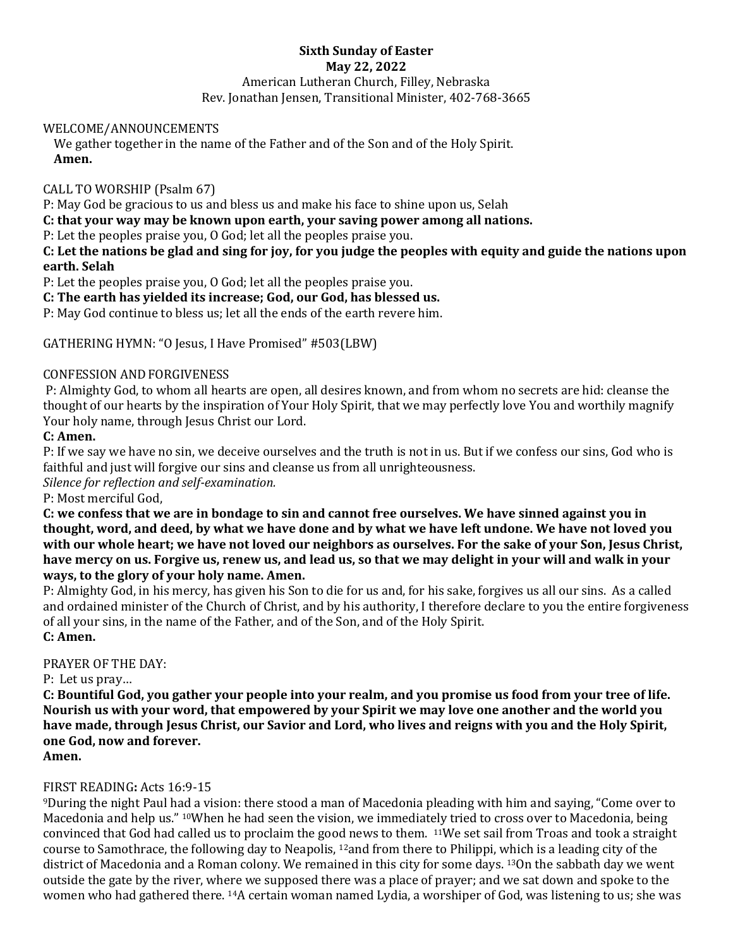#### **Sixth Sunday of Easter May 22, 2022** American Lutheran Church, Filley, Nebraska Rev. Jonathan Jensen, Transitional Minister, 402-768-3665

#### WELCOME/ANNOUNCEMENTS

We gather together in the name of the Father and of the Son and of the Holy Spirit. **Amen.**

CALL TO WORSHIP (Psalm 67)

P: May God be gracious to us and bless us and make his face to shine upon us, Selah

**C: that your way may be known upon earth, your saving power among all nations.**

P: Let the peoples praise you, O God; let all the peoples praise you.

**C: Let the nations be glad and sing for joy, for you judge the peoples with equity and guide the nations upon earth. Selah**

P: Let the peoples praise you, O God; let all the peoples praise you.

**C: The earth has yielded its increase; God, our God, has blessed us.**

P: May God continue to bless us; let all the ends of the earth revere him.

GATHERING HYMN: "O Jesus, I Have Promised" #503(LBW)

#### CONFESSION AND FORGIVENESS

P: Almighty God, to whom all hearts are open, all desires known, and from whom no secrets are hid: cleanse the thought of our hearts by the inspiration of Your Holy Spirit, that we may perfectly love You and worthily magnify Your holy name, through Jesus Christ our Lord.

#### **C: Amen.**

P: If we say we have no sin, we deceive ourselves and the truth is not in us. But if we confess our sins, God who is faithful and just will forgive our sins and cleanse us from all unrighteousness.

*Silence for reflection and self-examination.*

P: Most merciful God,

**C: we confess that we are in bondage to sin and cannot free ourselves. We have sinned against you in thought, word, and deed, by what we have done and by what we have left undone. We have not loved you with our whole heart; we have not loved our neighbors as ourselves. For the sake of your Son, Jesus Christ, have mercy on us. Forgive us, renew us, and lead us, so that we may delight in your will and walk in your ways, to the glory of your holy name. Amen.** 

P: Almighty God, in his mercy, has given his Son to die for us and, for his sake, forgives us all our sins. As a called and ordained minister of the Church of Christ, and by his authority, I therefore declare to you the entire forgiveness of all your sins, in the name of the Father, and of the Son, and of the Holy Spirit. **C: Amen.**

#### PRAYER OF THE DAY:

P: Let us pray…

**C: Bountiful God, you gather your people into your realm, and you promise us food from your tree of life. Nourish us with your word, that empowered by your Spirit we may love one another and the world you have made, through Jesus Christ, our Savior and Lord, who lives and reigns with you and the Holy Spirit, one God, now and forever.**

**Amen.**

#### FIRST READING**:** Acts 16:9-15

<sup>9</sup>During the night Paul had a vision: there stood a man of Macedonia pleading with him and saying, "Come over to Macedonia and help us." <sup>10</sup>When he had seen the vision, we immediately tried to cross over to Macedonia, being convinced that God had called us to proclaim the good news to them. <sup>11</sup>We set sail from Troas and took a straight course to Samothrace, the following day to Neapolis, <sup>12</sup>and from there to Philippi, which is a leading city of the district of Macedonia and a Roman colony. We remained in this city for some days. <sup>13</sup>On the sabbath day we went outside the gate by the river, where we supposed there was a place of prayer; and we sat down and spoke to the women who had gathered there. <sup>14</sup>A certain woman named Lydia, a worshiper of God, was listening to us; she was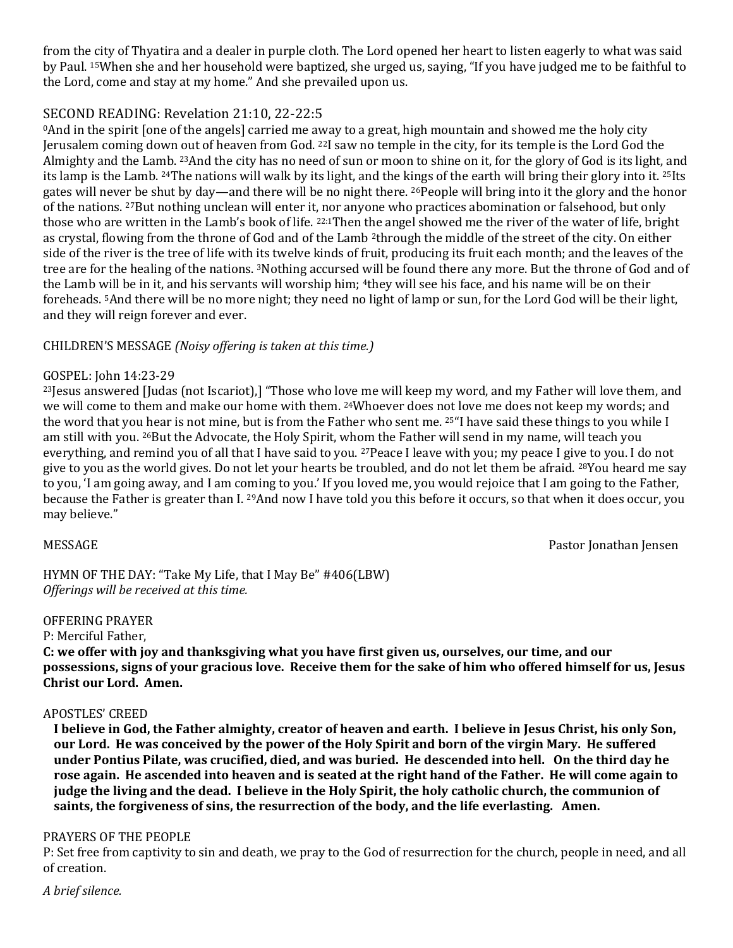from the city of Thyatira and a dealer in purple cloth. The Lord opened her heart to listen eagerly to what was said by Paul. <sup>15</sup>When she and her household were baptized, she urged us, saying, "If you have judged me to be faithful to the Lord, come and stay at my home." And she prevailed upon us.

### SECOND READING: Revelation 21:10, 22-22:5

<sup>0</sup>And in the spirit [one of the angels] carried me away to a great, high mountain and showed me the holy city Jerusalem coming down out of heaven from God. <sup>22</sup>I saw no temple in the city, for its temple is the Lord God the Almighty and the Lamb. <sup>23</sup>And the city has no need of sun or moon to shine on it, for the glory of God is its light, and its lamp is the Lamb. <sup>24</sup>The nations will walk by its light, and the kings of the earth will bring their glory into it. <sup>25</sup>Its gates will never be shut by day—and there will be no night there. <sup>26</sup>People will bring into it the glory and the honor of the nations. <sup>27</sup>But nothing unclean will enter it, nor anyone who practices abomination or falsehood, but only those who are written in the Lamb's book of life. 22:1Then the angel showed me the river of the water of life, bright as crystal, flowing from the throne of God and of the Lamb <sup>2</sup>through the middle of the street of the city. On either side of the river is the tree of life with its twelve kinds of fruit, producing its fruit each month; and the leaves of the tree are for the healing of the nations. <sup>3</sup>Nothing accursed will be found there any more. But the throne of God and of the Lamb will be in it, and his servants will worship him; <sup>4</sup>they will see his face, and his name will be on their foreheads. <sup>5</sup>And there will be no more night; they need no light of lamp or sun, for the Lord God will be their light, and they will reign forever and ever.

#### CHILDREN'S MESSAGE *(Noisy offering is taken at this time.)*

#### GOSPEL: John 14:23-29

<sup>23</sup>Jesus answered [Judas (not Iscariot),] "Those who love me will keep my word, and my Father will love them, and we will come to them and make our home with them. <sup>24</sup>Whoever does not love me does not keep my words; and the word that you hear is not mine, but is from the Father who sent me. <sup>25</sup>"I have said these things to you while I am still with you. <sup>26</sup>But the Advocate, the Holy Spirit, whom the Father will send in my name, will teach you everything, and remind you of all that I have said to you. <sup>27</sup> Peace I leave with you; my peace I give to you. I do not give to you as the world gives. Do not let your hearts be troubled, and do not let them be afraid. <sup>28</sup>You heard me say to you, 'I am going away, and I am coming to you.' If you loved me, you would rejoice that I am going to the Father, because the Father is greater than I. <sup>29</sup>And now I have told you this before it occurs, so that when it does occur, you may believe."

MESSAGE Pastor Jonathan Jensen

HYMN OF THE DAY: "Take My Life, that I May Be" #406(LBW) *Offerings will be received at this time.*

#### OFFERING PRAYER

P: Merciful Father,

**C: we offer with joy and thanksgiving what you have first given us, ourselves, our time, and our possessions, signs of your gracious love. Receive them for the sake of him who offered himself for us, Jesus Christ our Lord. Amen.**

#### APOSTLES' CREED

**I believe in God, the Father almighty, creator of heaven and earth. I believe in Jesus Christ, his only Son, our Lord. He was conceived by the power of the Holy Spirit and born of the virgin Mary. He suffered under Pontius Pilate, was crucified, died, and was buried. He descended into hell. On the third day he rose again. He ascended into heaven and is seated at the right hand of the Father. He will come again to judge the living and the dead. I believe in the Holy Spirit, the holy catholic church, the communion of saints, the forgiveness of sins, the resurrection of the body, and the life everlasting. Amen.**

#### PRAYERS OF THE PEOPLE

P: Set free from captivity to sin and death, we pray to the God of resurrection for the church, people in need, and all of creation.

*A brief silence.*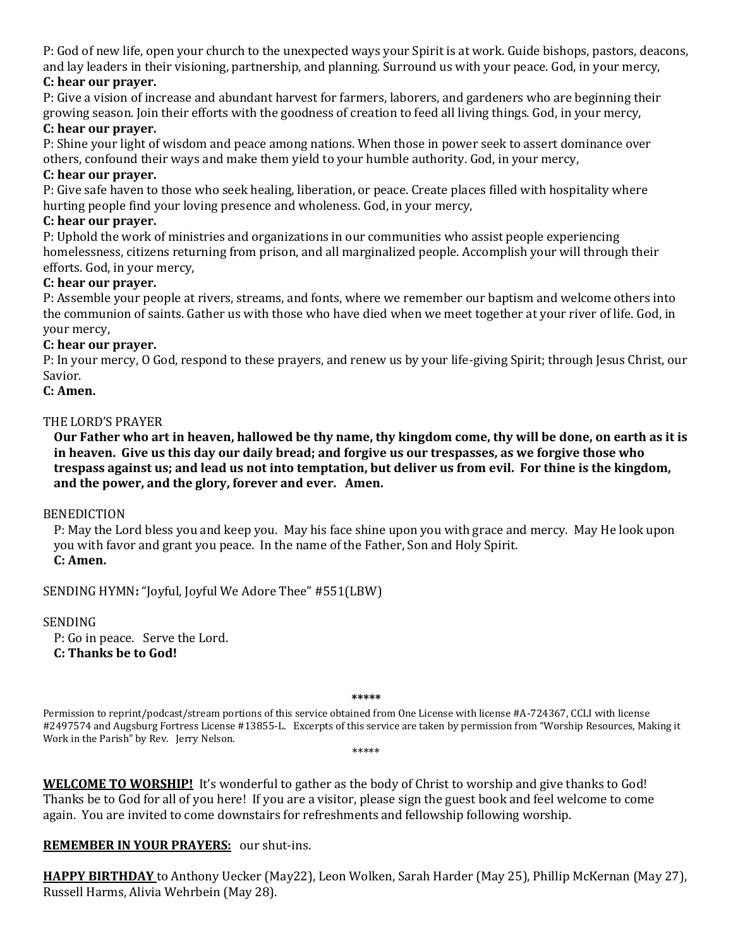P: God of new life, open your church to the unexpected ways your Spirit is at work. Guide bishops, pastors, deacons, and lay leaders in their visioning, partnership, and planning. Surround us with your peace. God, in your mercy,

#### **C: hear our prayer.**

P: Give a vision of increase and abundant harvest for farmers, laborers, and gardeners who are beginning their growing season. Join their efforts with the goodness of creation to feed all living things. God, in your mercy,

#### **C: hear our prayer.**

P: Shine your light of wisdom and peace among nations. When those in power seek to assert dominance over others, confound their ways and make them yield to your humble authority. God, in your mercy,

#### **C: hear our prayer.**

P: Give safe haven to those who seek healing, liberation, or peace. Create places filled with hospitality where hurting people find your loving presence and wholeness. God, in your mercy,

### **C: hear our prayer.**

P: Uphold the work of ministries and organizations in our communities who assist people experiencing homelessness, citizens returning from prison, and all marginalized people. Accomplish your will through their efforts. God, in your mercy,

#### **C: hear our prayer.**

P: Assemble your people at rivers, streams, and fonts, where we remember our baptism and welcome others into the communion of saints. Gather us with those who have died when we meet together at your river of life. God, in your mercy,

#### **C: hear our prayer.**

P: In your mercy, O God, respond to these prayers, and renew us by your life-giving Spirit; through Jesus Christ, our Savior.

#### **C: Amen.**

#### THE LORD'S PRAYER

**Our Father who art in heaven, hallowed be thy name, thy kingdom come, thy will be done, on earth as it is in heaven. Give us this day our daily bread; and forgive us our trespasses, as we forgive those who trespass against us; and lead us not into temptation, but deliver us from evil. For thine is the kingdom, and the power, and the glory, forever and ever. Amen.**

#### BENEDICTION

P: May the Lord bless you and keep you. May his face shine upon you with grace and mercy. May He look upon you with favor and grant you peace. In the name of the Father, Son and Holy Spirit. **C: Amen.**

SENDING HYMN**:** "Joyful, Joyful We Adore Thee" #551(LBW)

# SENDING

P: Go in peace. Serve the Lord. **C: Thanks be to God!**

#### **\*\*\*\*\***

Permission to reprint/podcast/stream portions of this service obtained from One License with license #A-724367, CCLI with license #2497574 and Augsburg Fortress License #13855-L. Excerpts of this service are taken by permission from "Worship Resources, Making it Work in the Parish" by Rev. Jerry Nelson.

\*\*\*\*\*

**WELCOME TO WORSHIP!** It's wonderful to gather as the body of Christ to worship and give thanks to God! Thanks be to God for all of you here! If you are a visitor, please sign the guest book and feel welcome to come again. You are invited to come downstairs for refreshments and fellowship following worship.

# **REMEMBER IN YOUR PRAYERS:** our shut-ins.

**HAPPY BIRTHDAY** to Anthony Uecker (May22), Leon Wolken, Sarah Harder (May 25), Phillip McKernan (May 27), Russell Harms, Alivia Wehrbein (May 28).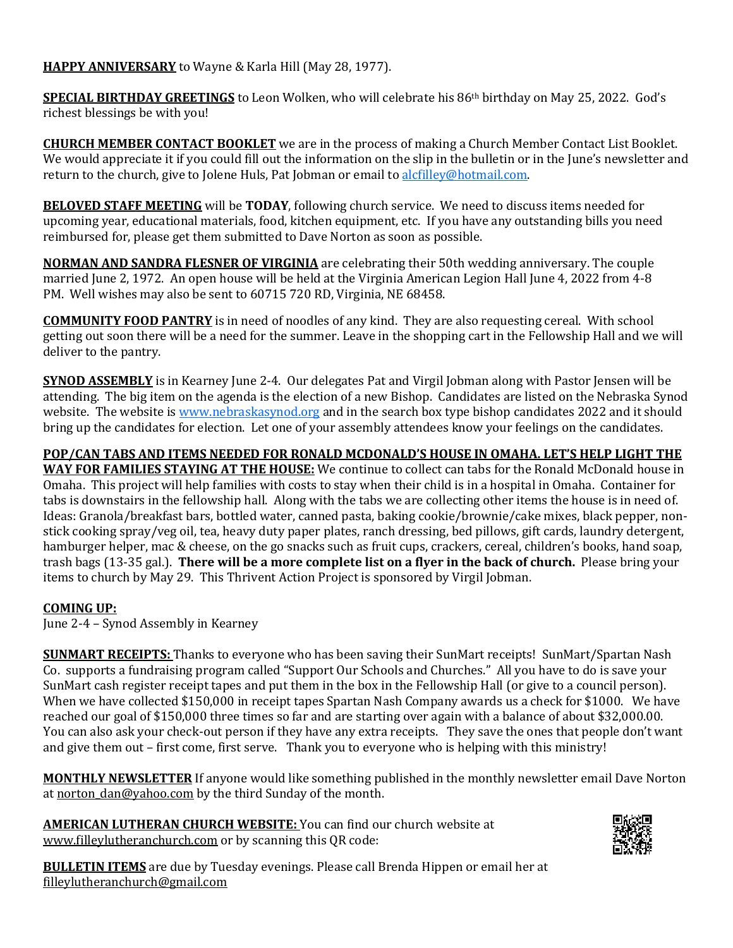**HAPPY ANNIVERSARY** to Wayne & Karla Hill (May 28, 1977).

**SPECIAL BIRTHDAY GREETINGS** to Leon Wolken, who will celebrate his 86<sup>th</sup> birthday on May 25, 2022. God's richest blessings be with you!

**CHURCH MEMBER CONTACT BOOKLET** we are in the process of making a Church Member Contact List Booklet. We would appreciate it if you could fill out the information on the slip in the bulletin or in the June's newsletter and return to the church, give to Jolene Huls, Pat Jobman or email to alcfilley@hotmail.com.

**BELOVED STAFF MEETING** will be **TODAY**, following church service. We need to discuss items needed for upcoming year, educational materials, food, kitchen equipment, etc. If you have any outstanding bills you need reimbursed for, please get them submitted to Dave Norton as soon as possible.

**NORMAN AND SANDRA FLESNER OF VIRGINIA** are celebrating their 50th wedding anniversary. The couple married June 2, 1972. An open house will be held at the Virginia American Legion Hall June 4, 2022 from 4-8 PM. Well wishes may also be sent to 60715 720 RD, Virginia, NE 68458.

**COMMUNITY FOOD PANTRY** is in need of noodles of any kind. They are also requesting cereal. With school getting out soon there will be a need for the summer. Leave in the shopping cart in the Fellowship Hall and we will deliver to the pantry.

**SYNOD ASSEMBLY** is in Kearney June 2-4. Our delegates Pat and Virgil Jobman along with Pastor Jensen will be attending. The big item on the agenda is the election of a new Bishop. Candidates are listed on the Nebraska Synod website. The website i[s www.nebraskasynod.org](http://www.nebraskasynod.org/) and in the search box type bishop candidates 2022 and it should bring up the candidates for election. Let one of your assembly attendees know your feelings on the candidates.

**POP/CAN TABS AND ITEMS NEEDED FOR RONALD MCDONALD'S HOUSE IN OMAHA. LET'S HELP LIGHT THE WAY FOR FAMILIES STAYING AT THE HOUSE:** We continue to collect can tabs for the Ronald McDonald house in Omaha. This project will help families with costs to stay when their child is in a hospital in Omaha. Container for tabs is downstairs in the fellowship hall. Along with the tabs we are collecting other items the house is in need of. Ideas: Granola/breakfast bars, bottled water, canned pasta, baking cookie/brownie/cake mixes, black pepper, nonstick cooking spray/veg oil, tea, heavy duty paper plates, ranch dressing, bed pillows, gift cards, laundry detergent, hamburger helper, mac & cheese, on the go snacks such as fruit cups, crackers, cereal, children's books, hand soap, trash bags (13-35 gal.). **There will be a more complete list on a flyer in the back of church.** Please bring your items to church by May 29. This Thrivent Action Project is sponsored by Virgil Jobman.

# **COMING UP:**

June 2-4 – Synod Assembly in Kearney

**SUNMART RECEIPTS:** Thanks to everyone who has been saving their SunMart receipts! SunMart/Spartan Nash Co. supports a fundraising program called "Support Our Schools and Churches." All you have to do is save your SunMart cash register receipt tapes and put them in the box in the Fellowship Hall (or give to a council person). When we have collected \$150,000 in receipt tapes Spartan Nash Company awards us a check for \$1000. We have reached our goal of \$150,000 three times so far and are starting over again with a balance of about \$32,000.00. You can also ask your check-out person if they have any extra receipts. They save the ones that people don't want and give them out – first come, first serve. Thank you to everyone who is helping with this ministry!

**MONTHLY NEWSLETTER** If anyone would like something published in the monthly newsletter email Dave Norton at norton dan@yahoo.com by the third Sunday of the month.

**AMERICAN LUTHERAN CHURCH WEBSITE:** You can find our church website at [www.filleylutheranchurch.com](http://www.filleylutheranchurch.com/) or by scanning this QR code:



**BULLETIN ITEMS** are due by Tuesday evenings. Please call Brenda Hippen or email her at [filleylutheranchurch@gmail.com](mailto:filleylutheranchurch@gmail.com)